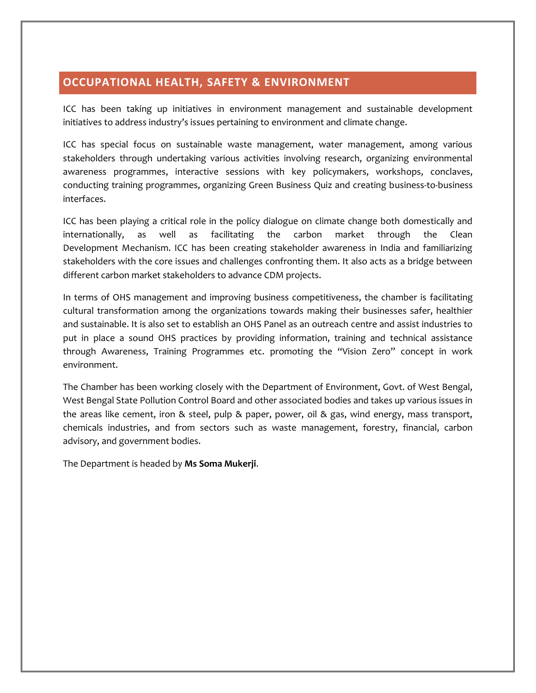# **OCCUPATIONAL HEALTH, SAFETY & ENVIRONMENT**

ICC has been taking up initiatives in environment management and sustainable development initiatives to address industry's issues pertaining to environment and climate change.

ICC has special focus on sustainable waste management, water management, among various stakeholders through undertaking various activities involving research, organizing environmental awareness programmes, interactive sessions with key policymakers, workshops, conclaves, conducting training programmes, organizing Green Business Quiz and creating business-to-business interfaces.

ICC has been playing a critical role in the policy dialogue on climate change both domestically and internationally, as well as facilitating the carbon market through the Clean Development Mechanism. ICC has been creating stakeholder awareness in India and familiarizing stakeholders with the core issues and challenges confronting them. It also acts as a bridge between different carbon market stakeholders to advance CDM projects.

In terms of OHS management and improving business competitiveness, the chamber is facilitating cultural transformation among the organizations towards making their businesses safer, healthier and sustainable. It is also set to establish an OHS Panel as an outreach centre and assist industries to put in place a sound OHS practices by providing information, training and technical assistance through Awareness, Training Programmes etc. promoting the "Vision Zero" concept in work environment.

The Chamber has been working closely with the Department of Environment, Govt. of West Bengal, West Bengal State Pollution Control Board and other associated bodies and takes up various issues in the areas like cement, iron & steel, pulp & paper, power, oil & gas, wind energy, mass transport, chemicals industries, and from sectors such as waste management, forestry, financial, carbon advisory, and government bodies.

The Department is headed by **Ms Soma Mukerji**.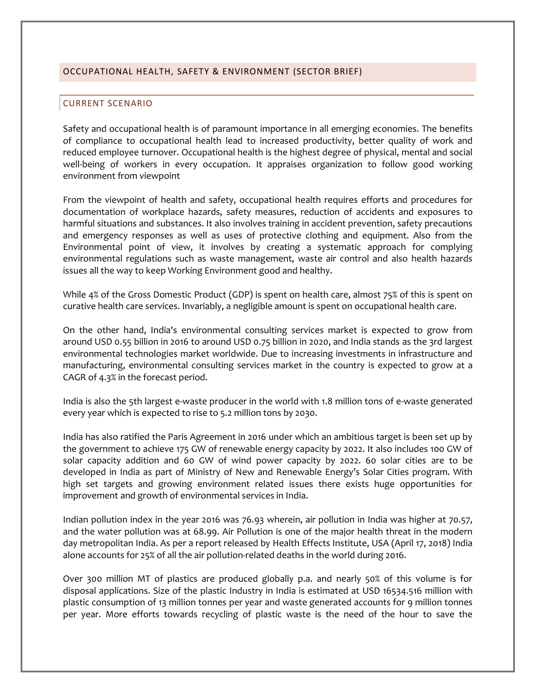#### OCCUPATIONAL HEALTH, SAFETY & ENVIRONMENT (SECTOR BRIEF)

# CURRENT SCENARIO

Safety and occupational health is of paramount importance in all emerging economies. The benefits of compliance to occupational health lead to increased productivity, better quality of work and reduced employee turnover. Occupational health is the highest degree of physical, mental and social well-being of workers in every occupation. It appraises organization to follow good working environment from viewpoint

From the viewpoint of health and safety, occupational health requires efforts and procedures for documentation of workplace hazards, safety measures, reduction of accidents and exposures to harmful situations and substances. It also involves training in accident prevention, safety precautions and emergency responses as well as uses of protective clothing and equipment. Also from the Environmental point of view, it involves by creating a systematic approach for complying environmental regulations such as waste management, waste air control and also health hazards issues all the way to keep Working Environment good and healthy.

While 4% of the Gross Domestic Product (GDP) is spent on health care, almost 75% of this is spent on curative health care services. Invariably, a negligible amount is spent on occupational health care.

On the other hand, India's environmental consulting services market is expected to grow from around USD 0.55 billion in 2016 to around USD 0.75 billion in 2020, and India stands as the 3rd largest environmental technologies market worldwide. Due to increasing investments in infrastructure and manufacturing, environmental consulting services market in the country is expected to grow at a CAGR of 4.3% in the forecast period.

India is also the 5th largest e-waste producer in the world with 1.8 million tons of e-waste generated every year which is expected to rise to 5.2 million tons by 2030.

India has also ratified the Paris Agreement in 2016 under which an ambitious target is been set up by the government to achieve 175 GW of renewable energy capacity by 2022. It also includes 100 GW of solar capacity addition and 60 GW of wind power capacity by 2022. 60 solar cities are to be developed in India as part of Ministry of New and Renewable Energy's Solar Cities program. With high set targets and growing environment related issues there exists huge opportunities for improvement and growth of environmental services in India.

Indian pollution index in the year 2016 was 76.93 wherein, air pollution in India was higher at 70.57, and the water pollution was at 68.99. Air Pollution is one of the major health threat in the modern day metropolitan India. As per a report released by Health Effects Institute, USA (April 17, 2018) India alone accounts for 25% of all the air pollution-related deaths in the world during 2016.

Over 300 million MT of plastics are produced globally p.a. and nearly 50% of this volume is for disposal applications. Size of the plastic Industry in India is estimated at USD 16534.516 million with plastic consumption of 13 million tonnes per year and waste generated accounts for 9 million tonnes per year. More efforts towards recycling of plastic waste is the need of the hour to save the